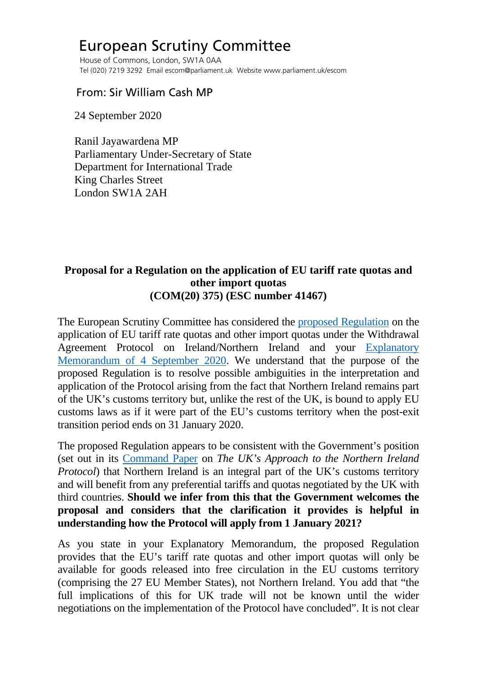## European Scrutiny Committee

 House of Commons, London, SW1A 0AA Tel (020) 7219 3292 Email escom@parliament.uk Website www.parliament.uk/escom

## From: Sir William Cash MP

24 September 2020

 Ranil Jayawardena MP Parliamentary Under-Secretary of State Department for International Trade King Charles Street London SW1A 2AH

## **Proposal for a Regulation on the application of EU tariff rate quotas and other import quotas (COM(20) 375) (ESC number 41467)**

The European Scrutiny Committee has considered the [proposed Regulation](http://europeanmemoranda.cabinetoffice.gov.uk/files/2020/08/COM-2020-375-F1-EN-MAIN-PART-1.PDF) on the application of EU tariff rate quotas and other import quotas under the Withdrawal Agreement Protocol on Ireland/Northern Ireland and your [Explanatory](http://europeanmemoranda.cabinetoffice.gov.uk/files/2020/09/COM-20-375-final_NI_Protocol_TRQs_-_draft_EM_-_August_2020_(e-signed).pdf)  [Memorandum of 4 September 2020.](http://europeanmemoranda.cabinetoffice.gov.uk/files/2020/09/COM-20-375-final_NI_Protocol_TRQs_-_draft_EM_-_August_2020_(e-signed).pdf) We understand that the purpose of the proposed Regulation is to resolve possible ambiguities in the interpretation and application of the Protocol arising from the fact that Northern Ireland remains part of the UK's customs territory but, unlike the rest of the UK, is bound to apply EU customs laws as if it were part of the EU's customs territory when the post-exit transition period ends on 31 January 2020.

The proposed Regulation appears to be consistent with the Government's position (set out in its [Command Paper](https://assets.publishing.service.gov.uk/government/uploads/system/uploads/attachment_data/file/887532/The_UK_s_Approach_to_NI_Protocol_Web_Accessible.pdf) on *The UK's Approach to the Northern Ireland Protocol*) that Northern Ireland is an integral part of the UK's customs territory and will benefit from any preferential tariffs and quotas negotiated by the UK with third countries. **Should we infer from this that the Government welcomes the proposal and considers that the clarification it provides is helpful in understanding how the Protocol will apply from 1 January 2021?**

As you state in your Explanatory Memorandum, the proposed Regulation provides that the EU's tariff rate quotas and other import quotas will only be available for goods released into free circulation in the EU customs territory (comprising the 27 EU Member States), not Northern Ireland. You add that "the full implications of this for UK trade will not be known until the wider negotiations on the implementation of the Protocol have concluded". It is not clear